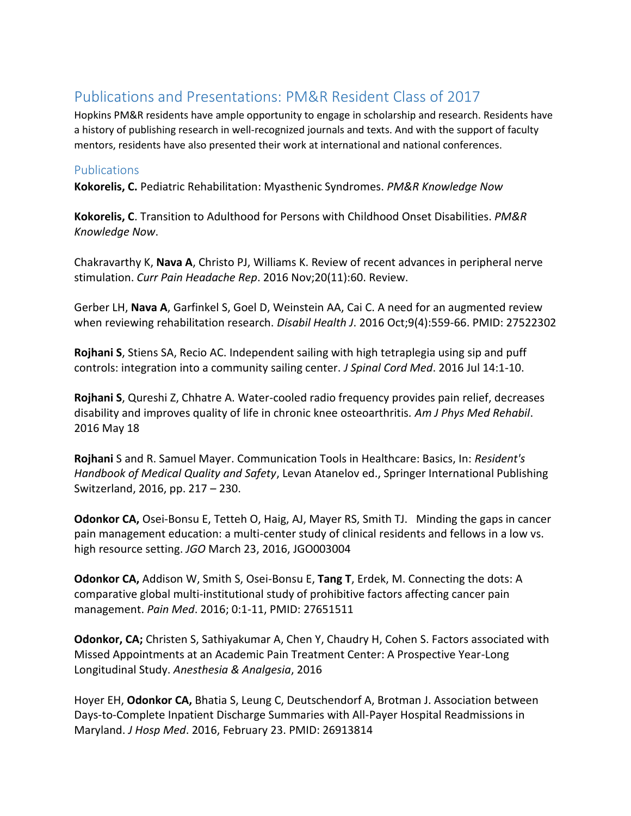## Publications and Presentations: PM&R Resident Class of 2017

Hopkins PM&R residents have ample opportunity to engage in scholarship and research. Residents have a history of publishing research in well-recognized journals and texts. And with the support of faculty mentors, residents have also presented their work at international and national conferences.

## **Publications**

**Kokorelis, C.** Pediatric Rehabilitation: Myasthenic Syndromes. *PM&R Knowledge Now*

**Kokorelis, C**. Transition to Adulthood for Persons with Childhood Onset Disabilities. *PM&R Knowledge Now*.

Chakravarthy K, **Nava A**, Christo PJ, Williams K. Review of recent advances in peripheral nerve stimulation. *Curr Pain Headache Rep*. 2016 Nov;20(11):60. Review.

Gerber LH, **Nava A**, Garfinkel S, Goel D, Weinstein AA, Cai C. A need for an augmented review when reviewing rehabilitation research. *Disabil Health J*. 2016 Oct;9(4):559-66. PMID: 27522302

**Rojhani S**, Stiens SA, Recio AC. Independent sailing with high tetraplegia using sip and puff controls: integration into a community sailing center. *J Spinal Cord Med*. 2016 Jul 14:1-10.

**Rojhani S**, Qureshi Z, Chhatre A. Water-cooled radio frequency provides pain relief, decreases disability and improves quality of life in chronic knee osteoarthritis*. Am J Phys Med Rehabil*. 2016 May 18

**Rojhani** S and R. Samuel Mayer. Communication Tools in Healthcare: Basics, In: *Resident's Handbook of Medical Quality and Safety*, Levan Atanelov ed., Springer International Publishing Switzerland, 2016, pp. 217 – 230.

**Odonkor CA,** Osei-Bonsu E, Tetteh O, Haig, AJ, Mayer RS, Smith TJ. Minding the gaps in cancer pain management education: a multi-center study of clinical residents and fellows in a low vs. high resource setting. *JGO* March 23, 2016, JGO003004

**Odonkor CA,** Addison W, Smith S, Osei-Bonsu E, **Tang T**, Erdek, M. Connecting the dots: A comparative global multi-institutional study of prohibitive factors affecting cancer pain management. *Pain Med*. 2016; 0:1-11, PMID: 27651511

**Odonkor, CA;** Christen S, Sathiyakumar A, Chen Y, Chaudry H, Cohen S. Factors associated with Missed Appointments at an Academic Pain Treatment Center: A Prospective Year-Long Longitudinal Study. *Anesthesia & Analgesia*, 2016

Hoyer EH, **Odonkor CA,** Bhatia S, Leung C, Deutschendorf A, Brotman J. Association between Days-to-Complete Inpatient Discharge Summaries with All-Payer Hospital Readmissions in Maryland. *J Hosp Med*. 2016, February 23. PMID: 26913814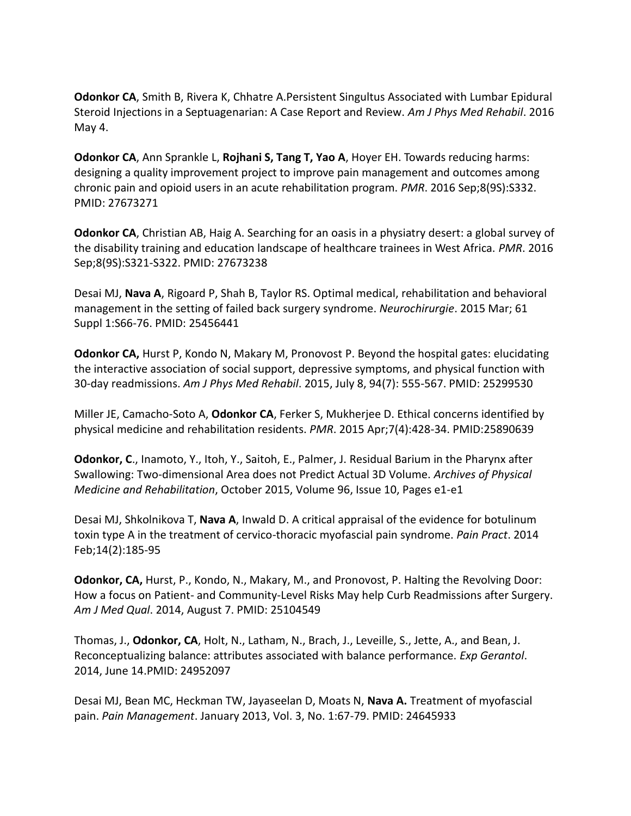**Odonkor CA**, Smith B, Rivera K, Chhatre A.Persistent Singultus Associated with Lumbar Epidural Steroid Injections in a Septuagenarian: A Case Report and Review. *Am J Phys Med Rehabil*. 2016 May 4.

**Odonkor CA**, Ann Sprankle L, **Rojhani S, Tang T, Yao A**, Hoyer EH. Towards reducing harms: designing a quality improvement project to improve pain management and outcomes among chronic pain and opioid users in an acute rehabilitation program. *PMR*. 2016 Sep;8(9S):S332. PMID: 27673271

**Odonkor CA**, Christian AB, Haig A. Searching for an oasis in a physiatry desert: a global survey of the disability training and education landscape of healthcare trainees in West Africa. *PMR*. 2016 Sep;8(9S):S321-S322. PMID: 27673238

Desai MJ, **Nava A**, Rigoard P, Shah B, Taylor RS. Optimal medical, rehabilitation and behavioral management in the setting of failed back surgery syndrome. *Neurochirurgie*. 2015 Mar; 61 Suppl 1:S66-76. PMID: 25456441

**Odonkor CA,** Hurst P, Kondo N, Makary M, Pronovost P. Beyond the hospital gates: elucidating the interactive association of social support, depressive symptoms, and physical function with 30-day readmissions. *Am J Phys Med Rehabil*. 2015, July 8, 94(7): 555-567. PMID: 25299530

Miller JE, Camacho-Soto A, **Odonkor CA**, Ferker S, Mukherjee D. Ethical concerns identified by physical medicine and rehabilitation residents. *PMR*. 2015 Apr;7(4):428-34. PMID:25890639

**Odonkor, C**., Inamoto, Y., Itoh, Y., Saitoh, E., Palmer, J. Residual Barium in the Pharynx after Swallowing: Two-dimensional Area does not Predict Actual 3D Volume. *Archives of Physical Medicine and Rehabilitation*, October 2015, Volume 96, Issue 10, Pages e1-e1

Desai MJ, Shkolnikova T, **Nava A**, Inwald D. A critical appraisal of the evidence for botulinum toxin type A in the treatment of cervico-thoracic myofascial pain syndrome. *Pain Pract*. 2014 Feb;14(2):185-95

**Odonkor, CA,** Hurst, P., Kondo, N., Makary, M., and Pronovost, P. Halting the Revolving Door: How a focus on Patient- and Community-Level Risks May help Curb Readmissions after Surgery. *Am J Med Qual*. 2014, August 7. PMID: 25104549

Thomas, J., **Odonkor, CA**, Holt, N., Latham, N., Brach, J., Leveille, S., Jette, A., and Bean, J. Reconceptualizing balance: attributes associated with balance performance. *Exp Gerantol*. 2014, June 14.PMID: 24952097

Desai MJ, Bean MC, Heckman TW, Jayaseelan D, Moats N, **Nava A.** Treatment of myofascial pain. *Pain Management*. January 2013, Vol. 3, No. 1:67-79. PMID: 24645933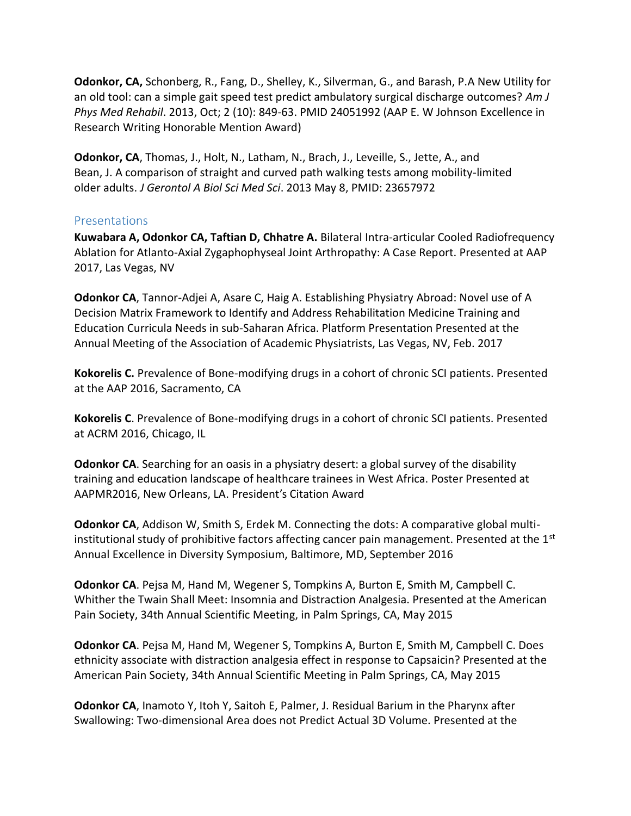**Odonkor, CA,** Schonberg, R., Fang, D., Shelley, K., Silverman, G., and Barash, P.A New Utility for an old tool: can a simple gait speed test predict ambulatory surgical discharge outcomes? *Am J Phys Med Rehabil*. 2013, Oct; 2 (10): 849-63. PMID 24051992 (AAP E. W Johnson Excellence in Research Writing Honorable Mention Award)

**Odonkor, CA**, Thomas, J., Holt, N., Latham, N., Brach, J., Leveille, S., Jette, A., and Bean, J. A comparison of straight and curved path walking tests among mobility-limited older adults. *J Gerontol A Biol Sci Med Sci*. 2013 May 8, PMID: 23657972

## Presentations

**Kuwabara A, Odonkor CA, Taftian D, Chhatre A.** Bilateral Intra-articular Cooled Radiofrequency Ablation for Atlanto-Axial Zygaphophyseal Joint Arthropathy: A Case Report. Presented at AAP 2017, Las Vegas, NV

**Odonkor CA**, Tannor-Adjei A, Asare C, Haig A. Establishing Physiatry Abroad: Novel use of A Decision Matrix Framework to Identify and Address Rehabilitation Medicine Training and Education Curricula Needs in sub-Saharan Africa. Platform Presentation Presented at the Annual Meeting of the Association of Academic Physiatrists, Las Vegas, NV, Feb. 2017

**Kokorelis C.** Prevalence of Bone-modifying drugs in a cohort of chronic SCI patients. Presented at the AAP 2016, Sacramento, CA

**Kokorelis C**. Prevalence of Bone-modifying drugs in a cohort of chronic SCI patients. Presented at ACRM 2016, Chicago, IL

**Odonkor CA**. Searching for an oasis in a physiatry desert: a global survey of the disability training and education landscape of healthcare trainees in West Africa. Poster Presented at AAPMR2016, New Orleans, LA. President's Citation Award

**Odonkor CA**, Addison W, Smith S, Erdek M. Connecting the dots: A comparative global multiinstitutional study of prohibitive factors affecting cancer pain management. Presented at the  $1<sup>st</sup>$ Annual Excellence in Diversity Symposium, Baltimore, MD, September 2016

**Odonkor CA**. Pejsa M, Hand M, Wegener S, Tompkins A, Burton E, Smith M, Campbell C. Whither the Twain Shall Meet: Insomnia and Distraction Analgesia. Presented at the American Pain Society, 34th Annual Scientific Meeting, in Palm Springs, CA, May 2015

**Odonkor CA**. Pejsa M, Hand M, Wegener S, Tompkins A, Burton E, Smith M, Campbell C. Does ethnicity associate with distraction analgesia effect in response to Capsaicin? Presented at the American Pain Society, 34th Annual Scientific Meeting in Palm Springs, CA, May 2015

**Odonkor CA**, Inamoto Y, Itoh Y, Saitoh E, Palmer, J. Residual Barium in the Pharynx after Swallowing: Two-dimensional Area does not Predict Actual 3D Volume. Presented at the